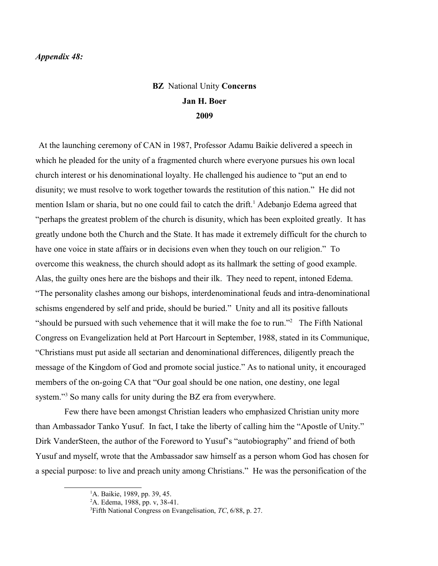## *Appendix 48:*

## **BZ** National Unity **Concerns Jan H. Boer 2009**

At the launching ceremony of CAN in 1987, Professor Adamu Baikie delivered a speech in which he pleaded for the unity of a fragmented church where everyone pursues his own local church interest or his denominational loyalty. He challenged his audience to "put an end to disunity; we must resolve to work together towards the restitution of this nation." He did not mention Islam or sharia, but no one could fail to catch the drift.<sup>[1](#page-0-0)</sup> Adebanjo Edema agreed that "perhaps the greatest problem of the church is disunity, which has been exploited greatly. It has greatly undone both the Church and the State. It has made it extremely difficult for the church to have one voice in state affairs or in decisions even when they touch on our religion." To overcome this weakness, the church should adopt as its hallmark the setting of good example. Alas, the guilty ones here are the bishops and their ilk. They need to repent, intoned Edema. "The personality clashes among our bishops, interdenominational feuds and intra-denominational schisms engendered by self and pride, should be buried." Unity and all its positive fallouts "should be pursued with such vehemence that it will make the foe to run."<sup>[2](#page-0-1)</sup> The Fifth National Congress on Evangelization held at Port Harcourt in September, 1988, stated in its Communique, "Christians must put aside all sectarian and denominational differences, diligently preach the message of the Kingdom of God and promote social justice." As to national unity, it encouraged members of the on-going CA that "Our goal should be one nation, one destiny, one legal system."<sup>[3](#page-0-2)</sup> So many calls for unity during the BZ era from everywhere.

Few there have been amongst Christian leaders who emphasized Christian unity more than Ambassador Tanko Yusuf. In fact, I take the liberty of calling him the "Apostle of Unity." Dirk VanderSteen, the author of the Foreword to Yusuf's "autobiography" and friend of both Yusuf and myself, wrote that the Ambassador saw himself as a person whom God has chosen for a special purpose: to live and preach unity among Christians." He was the personification of the

<span id="page-0-0"></span> ${}^{1}$ A. Baikie, 1989, pp. 39, 45.

<span id="page-0-1"></span><sup>2</sup>A. Edema, 1988, pp. v, 38-41.

<span id="page-0-2"></span><sup>3</sup>Fifth National Congress on Evangelisation, *TC*, 6/88, p. 27.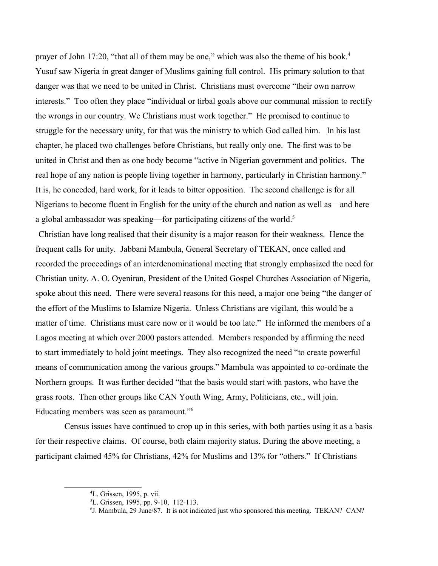prayer of John 17:20, "that all of them may be one," which was also the theme of his book.<sup>[4](#page-1-0)</sup> Yusuf saw Nigeria in great danger of Muslims gaining full control. His primary solution to that danger was that we need to be united in Christ. Christians must overcome "their own narrow interests." Too often they place "individual or tirbal goals above our communal mission to rectify the wrongs in our country. We Christians must work together." He promised to continue to struggle for the necessary unity, for that was the ministry to which God called him. In his last chapter, he placed two challenges before Christians, but really only one. The first was to be united in Christ and then as one body become "active in Nigerian government and politics. The real hope of any nation is people living together in harmony, particularly in Christian harmony." It is, he conceded, hard work, for it leads to bitter opposition. The second challenge is for all Nigerians to become fluent in English for the unity of the church and nation as well as—and here a global ambassador was speaking—for participating citizens of the world.<sup>[5](#page-1-1)</sup>

Christian have long realised that their disunity is a major reason for their weakness. Hence the frequent calls for unity. Jabbani Mambula, General Secretary of TEKAN, once called and recorded the proceedings of an interdenominational meeting that strongly emphasized the need for Christian unity. A. O. Oyeniran, President of the United Gospel Churches Association of Nigeria, spoke about this need. There were several reasons for this need, a major one being "the danger of the effort of the Muslims to Islamize Nigeria. Unless Christians are vigilant, this would be a matter of time. Christians must care now or it would be too late." He informed the members of a Lagos meeting at which over 2000 pastors attended. Members responded by affirming the need to start immediately to hold joint meetings. They also recognized the need "to create powerful means of communication among the various groups." Mambula was appointed to co-ordinate the Northern groups. It was further decided "that the basis would start with pastors, who have the grass roots. Then other groups like CAN Youth Wing, Army, Politicians, etc., will join. Educating members was seen as paramount."[6](#page-1-2)

Census issues have continued to crop up in this series, with both parties using it as a basis for their respective claims. Of course, both claim majority status. During the above meeting, a participant claimed 45% for Christians, 42% for Muslims and 13% for "others." If Christians

<span id="page-1-0"></span><sup>4</sup>L. Grissen, 1995, p. vii.

<span id="page-1-1"></span><sup>5</sup>L. Grissen, 1995, pp. 9-10, 112-113.

<span id="page-1-2"></span><sup>6</sup> J. Mambula, 29 June/87. It is not indicated just who sponsored this meeting. TEKAN? CAN?